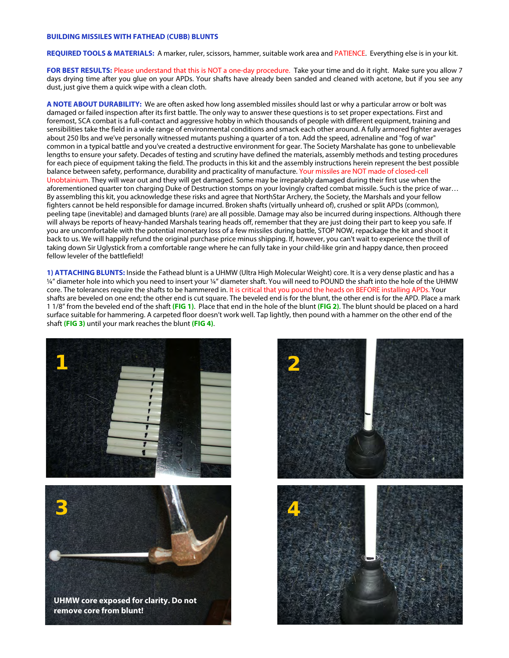## **BUILDING MISSILES WITH FATHEAD (CUBB) BLUNTS**

**REQUIRED TOOLS & MATERIALS:** A marker, ruler, scissors, hammer, suitable work area and PATIENCE. Everything else is in your kit.

**FOR BEST RESULTS:** Please understand that this is NOT a one-day procedure. Take your time and do it right. Make sure you allow 7 days drying time after you glue on your APDs. Your shafts have already been sanded and cleaned with acetone, but if you see any dust, just give them a quick wipe with a clean cloth.

**A NOTE ABOUT DURABILITY:** We are often asked how long assembled missiles should last or why a particular arrow or bolt was damaged or failed inspection after its first battle. The only way to answer these questions is to set proper expectations. First and foremost. SCA combat is a full-contact and aggressive hobby in which thousands of people with different equipment, training and sensibilities take the field in a wide range of environmental conditions and smack each other around. A fully armored fighter averages about 250 lbs and we've personally witnessed mutants pushing a quarter of a ton. Add the speed, adrenaline and "fog of war" common in a typical battle and you've created a destructive environment for gear. The Society Marshalate has gone to unbelievable lengths to ensure your safety. Decades of testing and scrutiny have defined the materials, assembly methods and testing procedures for each piece of equipment taking the field. The products in this kit and the assembly instructions herein represent the best possible balance between safety, performance, durability and practicality of manufacture. Your missiles are NOT made of closed-cell Unobtainium. They will wear out and they will get damaged. Some may be irreparably damaged during their first use when the aforementioned quarter ton charging Duke of Destruction stomps on your lovingly crafted combat missile. Such is the price of war… By assembling this kit, you acknowledge these risks and agree that NorthStar Archery, the Society, the Marshals and your fellow fighters cannot be held responsible for damage incurred. Broken shafts (virtually unheard of), crushed or split APDs (common), peeling tape (inevitable) and damaged blunts (rare) are all possible. Damage may also be incurred during inspections. Although there will always be reports of heavy-handed Marshals tearing heads off, remember that they are just doing their part to keep you safe. If you are uncomfortable with the potential monetary loss of a few missiles during battle, STOP NOW, repackage the kit and shoot it back to us. We will happily refund the original purchase price minus shipping. If, however, you can't wait to experience the thrill of taking down Sir Uglystick from a comfortable range where he can fully take in your child-like grin and happy dance, then proceed fellow leveler of the battlefield!

**1) ATTACHING BLUNTS:** Inside the Fathead blunt is a UHMW (Ultra High Molecular Weight) core. It is a very dense plastic and has a ¼" diameter hole into which you need to insert your ¼" diameter shaft. You will need to POUND the shaft into the hole of the UHMW core. The tolerances require the shafts to be hammered in. It is critical that you pound the heads on BEFORE installing APDs. Your shafts are beveled on one end; the other end is cut square. The beveled end is for the blunt, the other end is for the APD. Place a mark 1 1/8" from the beveled end of the shaft **(FIG 1)**. Place that end in the hole of the blunt **(FIG 2)**. The blunt should be placed on a hard surface suitable for hammering. A carpeted floor doesn't work well. Tap lightly, then pound with a hammer on the other end of the shaft **(FIG 3)** until your mark reaches the blunt **(FIG 4)**.



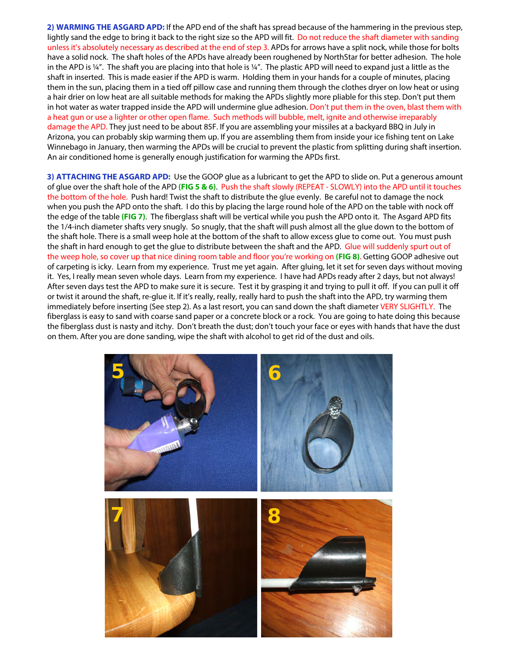**2) WARMING THE ASGARD APD:** If the APD end of the shaft has spread because of the hammering in the previous step, lightly sand the edge to bring it back to the right size so the APD will fit. Do not reduce the shaft diameter with sanding unless it's absolutely necessary as described at the end of step 3. APDs for arrows have a split nock, while those for bolts have a solid nock. The shaft holes of the APDs have already been roughened by NorthStar for better adhesion. The hole in the APD is ¼". The shaft you are placing into that hole is ¼". The plastic APD will need to expand just a little as the shaft in inserted. This is made easier if the APD is warm. Holding them in your hands for a couple of minutes, placing them in the sun, placing them in a tied off pillow case and running them through the clothes dryer on low heat or using a hair drier on low heat are all suitable methods for making the APDs slightly more pliable for this step. Don't put them in hot water as water trapped inside the APD will undermine glue adhesion. Don't put them in the oven, blast them with a heat gun or use a lighter or other open flame. Such methods will bubble, melt, ignite and otherwise irreparably damage the APD. They just need to be about 85F. If you are assembling your missiles at a backyard BBQ in July in Arizona, you can probably skip warming them up. If you are assembling them from inside your ice fishing tent on Lake Winnebago in January, then warming the APDs will be crucial to prevent the plastic from splitting during shaft insertion. An air conditioned home is generally enough justification for warming the APDs first.

**3) ATTACHING THE ASGARD APD:** Use the GOOP glue as a lubricant to get the APD to slide on. Put a generous amount of glue over the shaft hole of the APD **(FIG 5 & 6)**. Push the shaft slowly (REPEAT - SLOWLY) into the APD until it touches the bottom of the hole. Push hard! Twist the shaft to distribute the glue evenly. Be careful not to damage the nock when you push the APD onto the shaft. I do this by placing the large round hole of the APD on the table with nock off the edge of the table **(FIG 7)**. The fiberglass shaft will be vertical while you push the APD onto it. The Asgard APD fits the 1/4-inch diameter shafts very snugly. So snugly, that the shaft will push almost all the glue down to the bottom of the shaft hole. There is a small weep hole at the bottom of the shaft to allow excess glue to come out. You must push the shaft in hard enough to get the glue to distribute between the shaft and the APD. Glue will suddenly spurt out of the weep hole, so cover up that nice dining room table and floor you're working on **(FIG 8)**. Getting GOOP adhesive out of carpeting is icky. Learn from my experience. Trust me yet again. After gluing, let it set for seven days without moving it. Yes, I really mean seven whole days. Learn from my experience. I have had APDs ready after 2 days, but not always! After seven days test the APD to make sure it is secure. Test it by grasping it and trying to pull it off. If you can pull it off or twist it around the shaft, re-glue it. If it's really, really, really hard to push the shaft into the APD, try warming them immediately before inserting (See step 2). As a last resort, you can sand down the shaft diameter VERY SLIGHTLY. The fiberglass is easy to sand with coarse sand paper or a concrete block or a rock. You are going to hate doing this because the fiberglass dust is nasty and itchy. Don't breath the dust; don't touch your face or eyes with hands that have the dust on them. After you are done sanding, wipe the shaft with alcohol to get rid of the dust and oils.

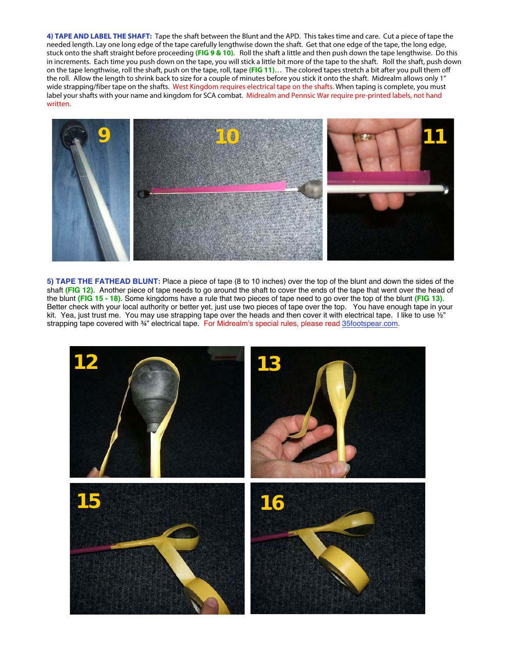**4) TAPE AND LABEL THE SHAFT:** Tape the shaft between the Blunt and the APD. This takes time and care. Cut a piece of tape the needed length. Lay one long edge of the tape carefully lengthwise down the shaft. Get that one edge of the tape, the long edge, stuck onto the shaft straight before proceeding **(FIG 9 & 10)**. Roll the shaft a little and then push down the tape lengthwise. Do this in increments. Each time you push down on the tape, you will stick a little bit more of the tape to the shaft. Roll the shaft, push down on the tape lengthwise, roll the shaft, push on the tape, roll, tape **(FIG 11)**… The colored tapes stretch a bit after you pull them off the roll. Allow the length to shrink back to size for a couple of minutes before you stick it onto the shaft. Midrealm allows only 1" wide strapping/fiber tape on the shafts. West Kingdom requires electrical tape on the shafts. When taping is complete, you must label your shafts with your name and kingdom for SCA combat. Midrealm and Pennsic War require pre-printed labels, not hand written.



**5) TAPE THE FATHEAD BLUNT:** Place a piece of tape (8 to 10 inches) over the top of the blunt and down the sides of the shaft **(FIG 12)**. Another piece of tape needs to go around the shaft to cover the ends of the tape that went over the head of the blunt **(FIG 15 - 17)**. Some kingdoms have a rule that two pieces of tape need to go over the top of the blunt **(FIG 13)**. Better check with your local authority or better yet, just use two pieces of tape over the top. You have enough tape in your kit. Yea, just trust me. You may use strapping tape over the heads and then cover it with electrical tape. I like to use  $\frac{1}{2}$ " strapping tape covered with 34" electrical tape. For Midrealm's special rules, please read [35footspear.com.](http://www.35footspear.com)